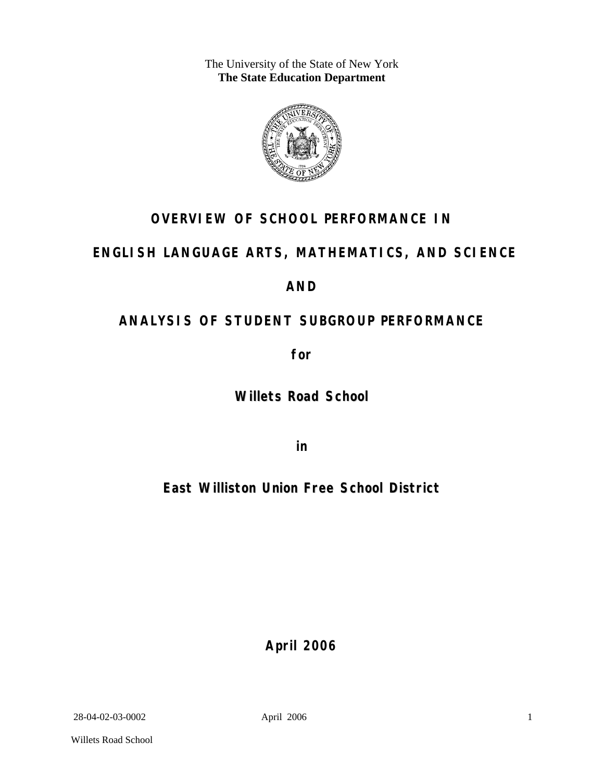The University of the State of New York **The State Education Department** 



# **OVERVIEW OF SCHOOL PERFORMANCE IN**

# **ENGLISH LANGUAGE ARTS, MATHEMATICS, AND SCIENCE**

# **AND**

# **ANALYSIS OF STUDENT SUBGROUP PERFORMANCE**

**for** 

**Willets Road School**

**in** 

**East Williston Union Free School District**

**April 2006**

28-04-02-03-0002 April 2006

Willets Road School

1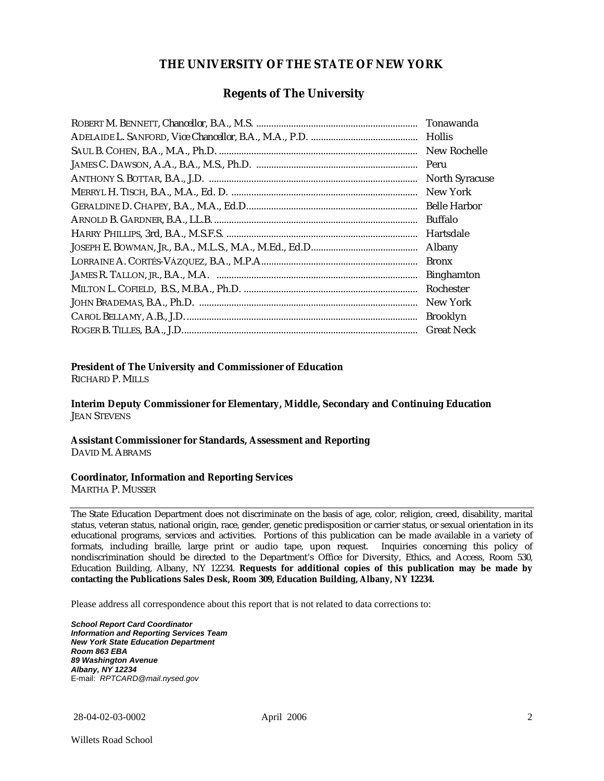## **THE UNIVERSITY OF THE STATE OF NEW YORK**

## **Regents of The University**

| Tonawanda             |
|-----------------------|
| <b>Hollis</b>         |
| New Rochelle          |
|                       |
| <b>North Syracuse</b> |
| New York              |
|                       |
| Buffalo               |
| Hartsdale             |
| Albany                |
| <b>Bronx</b>          |
| <b>Binghamton</b>     |
| Rochester             |
| New York              |
| <b>Brooklyn</b>       |
| <b>Great Neck</b>     |

### **President of The University and Commissioner of Education**

RICHARD P. MILLS

**Interim Deputy Commissioner for Elementary, Middle, Secondary and Continuing Education**  JEAN STEVENS

#### **Assistant Commissioner for Standards, Assessment and Reporting**  DAVID M. ABRAMS

#### **Coordinator, Information and Reporting Services**

MARTHA P. MUSSER

The State Education Department does not discriminate on the basis of age, color, religion, creed, disability, marital status, veteran status, national origin, race, gender, genetic predisposition or carrier status, or sexual orientation in its educational programs, services and activities. Portions of this publication can be made available in a variety of formats, including braille, large print or audio tape, upon request. Inquiries concerning this policy of nondiscrimination should be directed to the Department's Office for Diversity, Ethics, and Access, Room 530, Education Building, Albany, NY 12234. **Requests for additional copies of this publication may be made by contacting the Publications Sales Desk, Room 309, Education Building, Albany, NY 12234.** 

Please address all correspondence about this report that is not related to data corrections to:

*School Report Card Coordinator Information and Reporting Services Team New York State Education Department Room 863 EBA 89 Washington Avenue Albany, NY 12234*  E-mail: *RPTCARD@mail.nysed.gov*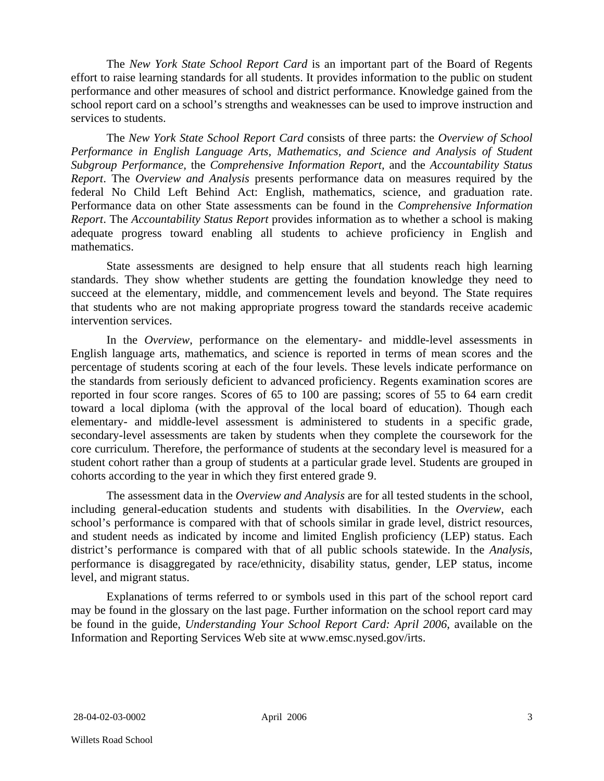The *New York State School Report Card* is an important part of the Board of Regents effort to raise learning standards for all students. It provides information to the public on student performance and other measures of school and district performance. Knowledge gained from the school report card on a school's strengths and weaknesses can be used to improve instruction and services to students.

The *New York State School Report Card* consists of three parts: the *Overview of School Performance in English Language Arts, Mathematics, and Science and Analysis of Student Subgroup Performance,* the *Comprehensive Information Report,* and the *Accountability Status Report*. The *Overview and Analysis* presents performance data on measures required by the federal No Child Left Behind Act: English, mathematics, science, and graduation rate. Performance data on other State assessments can be found in the *Comprehensive Information Report*. The *Accountability Status Report* provides information as to whether a school is making adequate progress toward enabling all students to achieve proficiency in English and mathematics.

State assessments are designed to help ensure that all students reach high learning standards. They show whether students are getting the foundation knowledge they need to succeed at the elementary, middle, and commencement levels and beyond. The State requires that students who are not making appropriate progress toward the standards receive academic intervention services.

In the *Overview*, performance on the elementary- and middle-level assessments in English language arts, mathematics, and science is reported in terms of mean scores and the percentage of students scoring at each of the four levels. These levels indicate performance on the standards from seriously deficient to advanced proficiency. Regents examination scores are reported in four score ranges. Scores of 65 to 100 are passing; scores of 55 to 64 earn credit toward a local diploma (with the approval of the local board of education). Though each elementary- and middle-level assessment is administered to students in a specific grade, secondary-level assessments are taken by students when they complete the coursework for the core curriculum. Therefore, the performance of students at the secondary level is measured for a student cohort rather than a group of students at a particular grade level. Students are grouped in cohorts according to the year in which they first entered grade 9.

The assessment data in the *Overview and Analysis* are for all tested students in the school, including general-education students and students with disabilities. In the *Overview*, each school's performance is compared with that of schools similar in grade level, district resources, and student needs as indicated by income and limited English proficiency (LEP) status. Each district's performance is compared with that of all public schools statewide. In the *Analysis*, performance is disaggregated by race/ethnicity, disability status, gender, LEP status, income level, and migrant status.

Explanations of terms referred to or symbols used in this part of the school report card may be found in the glossary on the last page. Further information on the school report card may be found in the guide, *Understanding Your School Report Card: April 2006*, available on the Information and Reporting Services Web site at www.emsc.nysed.gov/irts.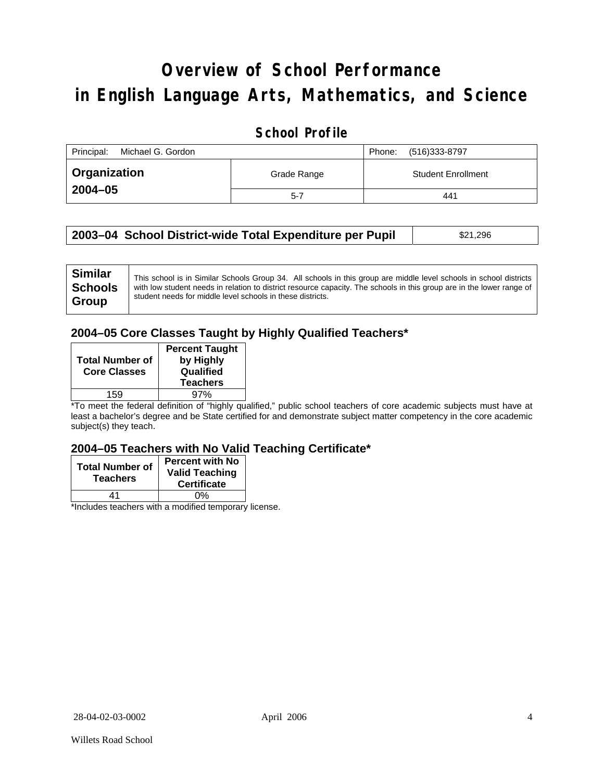# **Overview of School Performance in English Language Arts, Mathematics, and Science**

## **School Profile**

| Principal:<br>Michael G. Gordon |             | (516)333-8797<br>Phone:   |
|---------------------------------|-------------|---------------------------|
| Organization                    | Grade Range | <b>Student Enrollment</b> |
| 2004-05                         | $5 - 7$     | 441                       |

| 2003–04 School District-wide Total Expenditure per Pupil | \$21,296 |
|----------------------------------------------------------|----------|
|                                                          |          |

## **2004–05 Core Classes Taught by Highly Qualified Teachers\***

| <b>Total Number of</b><br><b>Core Classes</b> | <b>Percent Taught</b><br>by Highly<br>Qualified<br><b>Teachers</b> |
|-----------------------------------------------|--------------------------------------------------------------------|
| 159                                           | 97%                                                                |

\*To meet the federal definition of "highly qualified," public school teachers of core academic subjects must have at least a bachelor's degree and be State certified for and demonstrate subject matter competency in the core academic subject(s) they teach.

### **2004–05 Teachers with No Valid Teaching Certificate\***

| <b>Total Number of</b><br><b>Teachers</b> | <b>Percent with No</b><br><b>Valid Teaching</b><br><b>Certificate</b> |  |
|-------------------------------------------|-----------------------------------------------------------------------|--|
| 41                                        | 0%                                                                    |  |
|                                           |                                                                       |  |

\*Includes teachers with a modified temporary license.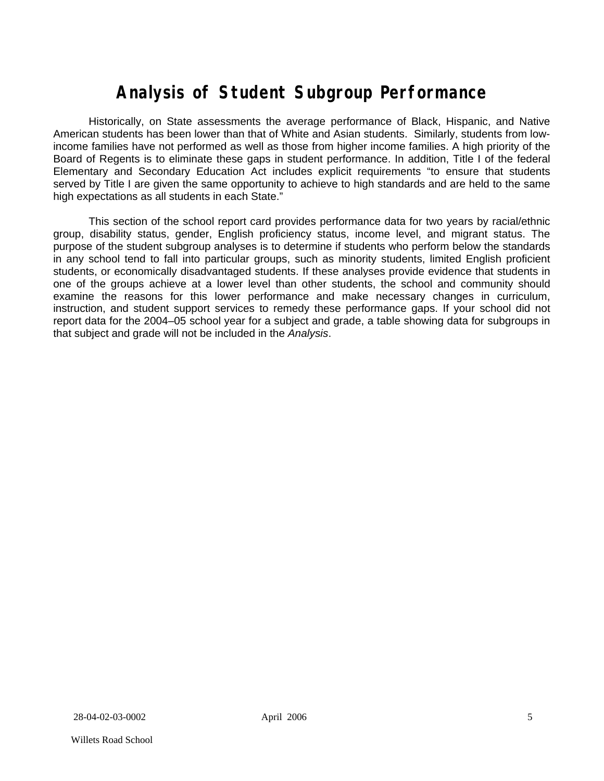# **Analysis of Student Subgroup Performance**

Historically, on State assessments the average performance of Black, Hispanic, and Native American students has been lower than that of White and Asian students. Similarly, students from lowincome families have not performed as well as those from higher income families. A high priority of the Board of Regents is to eliminate these gaps in student performance. In addition, Title I of the federal Elementary and Secondary Education Act includes explicit requirements "to ensure that students served by Title I are given the same opportunity to achieve to high standards and are held to the same high expectations as all students in each State."

This section of the school report card provides performance data for two years by racial/ethnic group, disability status, gender, English proficiency status, income level, and migrant status. The purpose of the student subgroup analyses is to determine if students who perform below the standards in any school tend to fall into particular groups, such as minority students, limited English proficient students, or economically disadvantaged students. If these analyses provide evidence that students in one of the groups achieve at a lower level than other students, the school and community should examine the reasons for this lower performance and make necessary changes in curriculum, instruction, and student support services to remedy these performance gaps. If your school did not report data for the 2004–05 school year for a subject and grade, a table showing data for subgroups in that subject and grade will not be included in the *Analysis*.